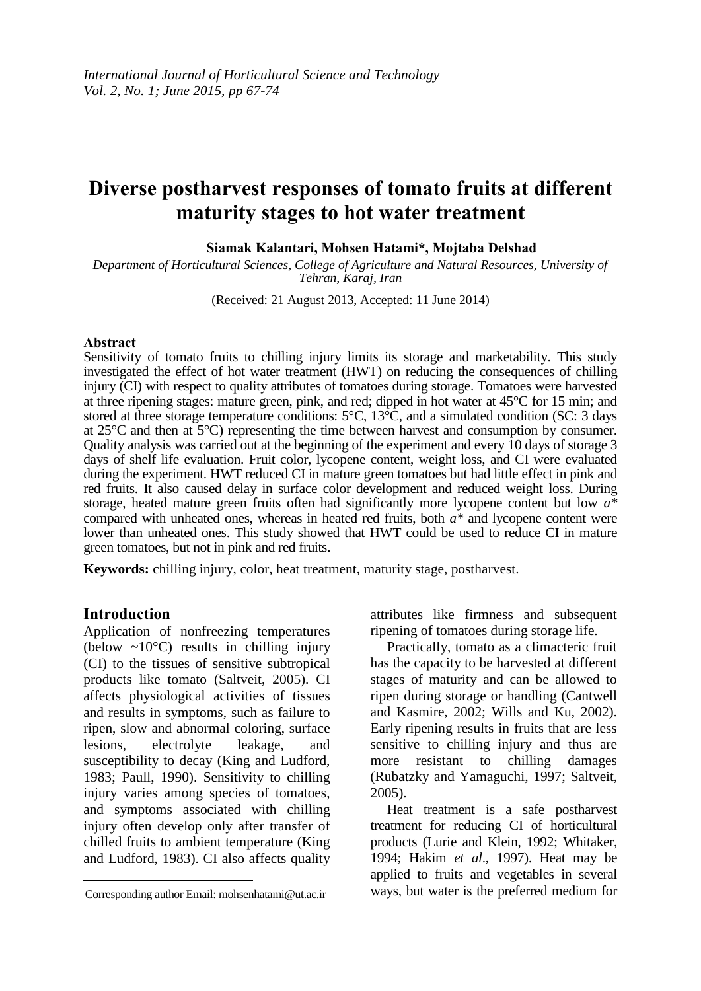# **Diverse postharvest responses of tomato fruits at different maturity stages to hot water treatment**

**Siamak Kalantari, Mohsen Hatami\*, Mojtaba Delshad**

*Department of Horticultural Sciences, College of Agriculture and Natural Resources, University of Tehran, Karaj, Iran*

(Received: 21 August 2013, Accepted: 11 June 2014)

#### **Abstract**

Sensitivity of tomato fruits to chilling injury limits its storage and marketability. This study investigated the effect of hot water treatment (HWT) on reducing the consequences of chilling injury (CI) with respect to quality attributes of tomatoes during storage. Tomatoes were harvested at three ripening stages: mature green, pink, and red; dipped in hot water at 45°C for 15 min; and stored at three storage temperature conditions:  $5^{\circ}$ C,  $13^{\circ}$ C, and a simulated condition (SC: 3 days at 25°C and then at 5°C) representing the time between harvest and consumption by consumer. Quality analysis was carried out at the beginning of the experiment and every 10 days of storage 3 days of shelf life evaluation. Fruit color, lycopene content, weight loss, and CI were evaluated during the experiment. HWT reduced CI in mature green tomatoes but had little effect in pink and red fruits. It also caused delay in surface color development and reduced weight loss. During storage, heated mature green fruits often had significantly more lycopene content but low *a\** compared with unheated ones, whereas in heated red fruits, both *a\** and lycopene content were lower than unheated ones. This study showed that HWT could be used to reduce CI in mature green tomatoes, but not in pink and red fruits.

**Keywords:** chilling injury, color, heat treatment, maturity stage, postharvest.

#### **Introduction**

 $\overline{a}$ 

Application of nonfreezing temperatures (below  $\sim 10^{\circ}$ C) results in chilling injury (CI) to the tissues of sensitive subtropical products like tomato (Saltveit, 2005). CI affects physiological activities of tissues and results in symptoms, such as failure to ripen, slow and abnormal coloring, surface lesions, electrolyte leakage, and susceptibility to decay (King and Ludford, 1983; Paull, 1990). Sensitivity to chilling injury varies among species of tomatoes, and symptoms associated with chilling injury often develop only after transfer of chilled fruits to ambient temperature (King and Ludford, 1983). CI also affects quality

attributes like firmness and subsequent ripening of tomatoes during storage life.

Practically, tomato as a climacteric fruit has the capacity to be harvested at different stages of maturity and can be allowed to ripen during storage or handling (Cantwell and Kasmire, 2002; Wills and Ku, 2002). Early ripening results in fruits that are less sensitive to chilling injury and thus are more resistant to chilling damages (Rubatzky and Yamaguchi, 1997; Saltveit, 2005).

Heat treatment is a safe postharvest treatment for reducing CI of horticultural products (Lurie and Klein, 1992; Whitaker, 1994; Hakim *et al*., 1997). Heat may be applied to fruits and vegetables in several ways, but water is the preferred medium for

Corresponding author Email: mohsenhatami@ut.ac.ir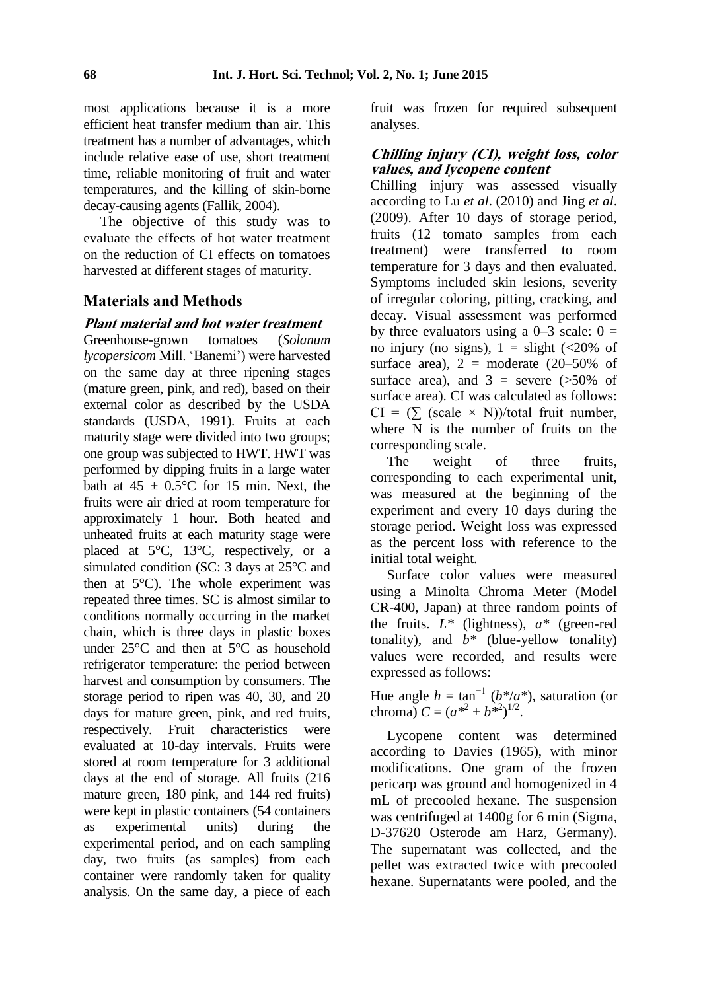most applications because it is a more efficient heat transfer medium than air. This treatment has a number of advantages, which include relative ease of use, short treatment time, reliable monitoring of fruit and water temperatures, and the killing of skin-borne decay-causing agents (Fallik, 2004).

The objective of this study was to evaluate the effects of hot water treatment on the reduction of CI effects on tomatoes harvested at different stages of maturity.

### **Materials and Methods**

#### **Plant material and hot water treatment**

Greenhouse-grown tomatoes (*Solanum lycopersicom* Mill. "Banemi") were harvested on the same day at three ripening stages (mature green, pink, and red), based on their external color as described by the USDA standards (USDA, 1991). Fruits at each maturity stage were divided into two groups; one group was subjected to HWT. HWT was performed by dipping fruits in a large water bath at  $45 \pm 0.5^{\circ}$ C for 15 min. Next, the fruits were air dried at room temperature for approximately 1 hour. Both heated and unheated fruits at each maturity stage were placed at 5°C, 13°C, respectively, or a simulated condition (SC: 3 days at 25°C and then at 5°C). The whole experiment was repeated three times. SC is almost similar to conditions normally occurring in the market chain, which is three days in plastic boxes under 25°C and then at 5°C as household refrigerator temperature: the period between harvest and consumption by consumers. The storage period to ripen was 40, 30, and 20 days for mature green, pink, and red fruits, respectively. Fruit characteristics were evaluated at 10-day intervals. Fruits were stored at room temperature for 3 additional days at the end of storage. All fruits (216 mature green, 180 pink, and 144 red fruits) were kept in plastic containers (54 containers as experimental units) during the experimental period, and on each sampling day, two fruits (as samples) from each container were randomly taken for quality analysis. On the same day, a piece of each

fruit was frozen for required subsequent analyses.

#### **Chilling injury (CI), weight loss, color values, and lycopene content**

Chilling injury was assessed visually according to Lu *et al*. (2010) and Jing *et al*. (2009). After 10 days of storage period, fruits (12 tomato samples from each treatment) were transferred to room temperature for 3 days and then evaluated. Symptoms included skin lesions, severity of irregular coloring, pitting, cracking, and decay. Visual assessment was performed by three evaluators using a  $0-3$  scale:  $0 =$ no injury (no signs),  $1 =$  slight (<20% of surface area),  $2 =$  moderate (20–50% of surface area), and  $3 =$  severe ( $>50\%$  of surface area). CI was calculated as follows:  $CI = (\sum (scale \times N))/total$  fruit number, where N is the number of fruits on the corresponding scale.

The weight of three fruits, corresponding to each experimental unit, was measured at the beginning of the experiment and every 10 days during the storage period. Weight loss was expressed as the percent loss with reference to the initial total weight.

Surface color values were measured using a Minolta Chroma Meter (Model CR-400, Japan) at three random points of the fruits. *L\** (lightness), *a\** (green-red tonality), and  $b^*$  (blue-yellow tonality) values were recorded, and results were expressed as follows:

Hue angle  $h = \tan^{-1}(b^*/a^*)$ , saturation (or chroma)  $C = (a^{*2} + b^{*2})^{1/2}$ .

Lycopene content was determined according to Davies (1965), with minor modifications. One gram of the frozen pericarp was ground and homogenized in 4 mL of precooled hexane. The suspension was centrifuged at 1400g for 6 min (Sigma, D-37620 Osterode am Harz, Germany). The supernatant was collected, and the pellet was extracted twice with precooled hexane. Supernatants were pooled, and the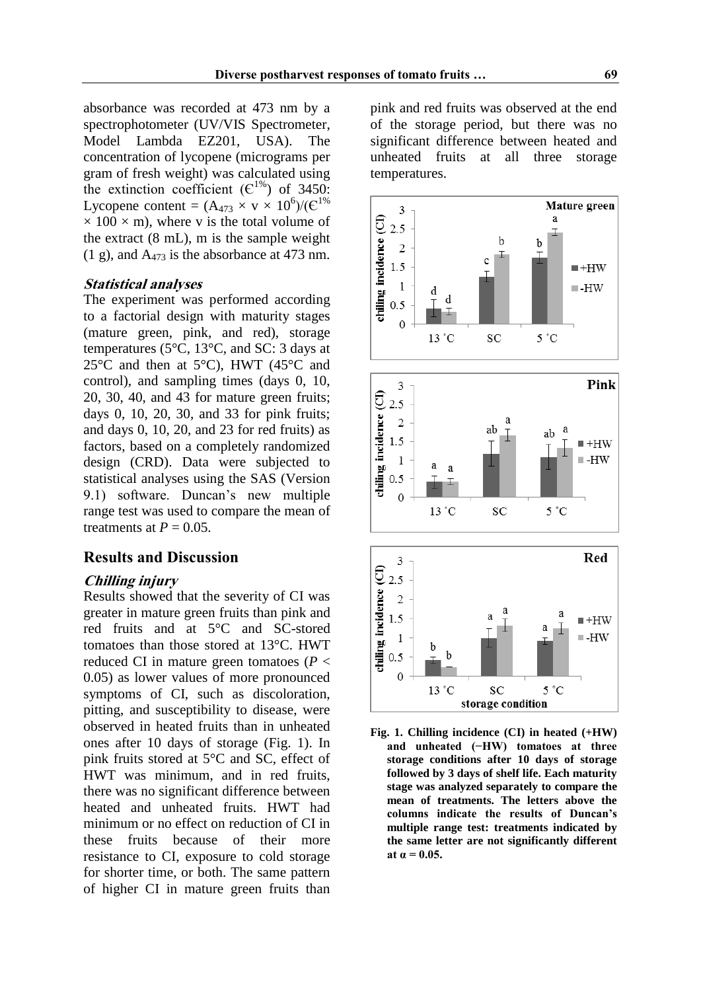absorbance was recorded at 473 nm by a spectrophotometer (UV/VIS Spectrometer, Model Lambda EZ201, USA). The concentration of lycopene (micrograms per gram of fresh weight) was calculated using the extinction coefficient  $(\mathbb{C}^{1\%})$  of 3450: Lycopene content =  $(A_{473} \times v \times 10^6)/(C^{1\%})$  $\times$  100  $\times$  m), where v is the total volume of the extract (8 mL), m is the sample weight  $(1 \text{ g})$ , and  $A_{473}$  is the absorbance at 473 nm.

#### **Statistical analyses**

The experiment was performed according to a factorial design with maturity stages (mature green, pink, and red), storage temperatures (5°C, 13°C, and SC: 3 days at 25 $\degree$ C and then at 5 $\degree$ C), HWT (45 $\degree$ C and control), and sampling times (days 0, 10, 20, 30, 40, and 43 for mature green fruits; days 0, 10, 20, 30, and 33 for pink fruits; and days 0, 10, 20, and 23 for red fruits) as factors, based on a completely randomized design (CRD). Data were subjected to statistical analyses using the SAS (Version 9.1) software. Duncan"s new multiple range test was used to compare the mean of treatments at  $P = 0.05$ .

#### **Results and Discussion**

#### **Chilling injury**

Results showed that the severity of CI was greater in mature green fruits than pink and red fruits and at 5°C and SC-stored tomatoes than those stored at 13°C. HWT reduced CI in mature green tomatoes (*P* < 0.05) as lower values of more pronounced symptoms of CI, such as discoloration, pitting, and susceptibility to disease, were observed in heated fruits than in unheated ones after 10 days of storage (Fig. 1). In pink fruits stored at 5°C and SC, effect of HWT was minimum, and in red fruits, there was no significant difference between heated and unheated fruits. HWT had minimum or no effect on reduction of CI in these fruits because of their more resistance to CI, exposure to cold storage for shorter time, or both. The same pattern of higher CI in mature green fruits than pink and red fruits was observed at the end of the storage period, but there was no significant difference between heated and unheated fruits at all three storage temperatures.







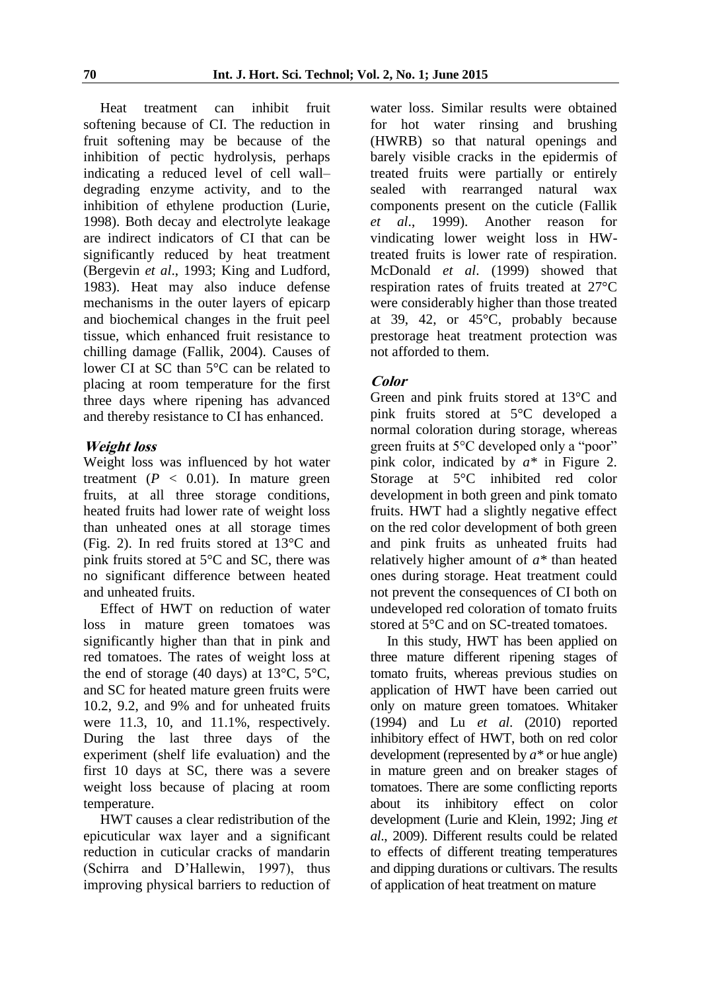Heat treatment can inhibit fruit softening because of CI. The reduction in fruit softening may be because of the inhibition of pectic hydrolysis, perhaps indicating a reduced level of cell wall– degrading enzyme activity, and to the inhibition of ethylene production (Lurie, 1998). Both decay and electrolyte leakage are indirect indicators of CI that can be significantly reduced by heat treatment (Bergevin *et al*., 1993; King and Ludford, 1983). Heat may also induce defense mechanisms in the outer layers of epicarp and biochemical changes in the fruit peel tissue, which enhanced fruit resistance to chilling damage (Fallik, 2004). Causes of lower CI at SC than 5°C can be related to placing at room temperature for the first three days where ripening has advanced and thereby resistance to CI has enhanced.

#### **Weight loss**

Weight loss was influenced by hot water treatment  $(P < 0.01)$ . In mature green fruits, at all three storage conditions, heated fruits had lower rate of weight loss than unheated ones at all storage times (Fig. 2). In red fruits stored at 13°C and pink fruits stored at 5°C and SC, there was no significant difference between heated and unheated fruits.

Effect of HWT on reduction of water loss in mature green tomatoes was significantly higher than that in pink and red tomatoes. The rates of weight loss at the end of storage (40 days) at  $13^{\circ}$ C,  $5^{\circ}$ C, and SC for heated mature green fruits were 10.2, 9.2, and 9% and for unheated fruits were 11.3, 10, and 11.1%, respectively. During the last three days of the experiment (shelf life evaluation) and the first 10 days at SC, there was a severe weight loss because of placing at room temperature.

HWT causes a clear redistribution of the epicuticular wax layer and a significant reduction in cuticular cracks of mandarin (Schirra and D"Hallewin, 1997), thus improving physical barriers to reduction of water loss. Similar results were obtained for hot water rinsing and brushing (HWRB) so that natural openings and barely visible cracks in the epidermis of treated fruits were partially or entirely sealed with rearranged natural wax components present on the cuticle (Fallik *et al*., 1999). Another reason for vindicating lower weight loss in HWtreated fruits is lower rate of respiration. McDonald *et al*. (1999) showed that respiration rates of fruits treated at 27°C were considerably higher than those treated at 39, 42, or 45°C, probably because prestorage heat treatment protection was not afforded to them.

## **Color**

Green and pink fruits stored at 13°C and pink fruits stored at 5°C developed a normal coloration during storage, whereas green fruits at 5°C developed only a "poor" pink color, indicated by *a\** in Figure 2. Storage at 5°C inhibited red color development in both green and pink tomato fruits. HWT had a slightly negative effect on the red color development of both green and pink fruits as unheated fruits had relatively higher amount of *a\** than heated ones during storage. Heat treatment could not prevent the consequences of CI both on undeveloped red coloration of tomato fruits stored at 5°C and on SC-treated tomatoes.

In this study, HWT has been applied on three mature different ripening stages of tomato fruits, whereas previous studies on application of HWT have been carried out only on mature green tomatoes. Whitaker (1994) and Lu *et al*. (2010) reported inhibitory effect of HWT, both on red color development (represented by *a\** or hue angle) in mature green and on breaker stages of tomatoes. There are some conflicting reports about its inhibitory effect on color development (Lurie and Klein, 1992; Jing *et al*., 2009). Different results could be related to effects of different treating temperatures and dipping durations or cultivars. The results of application of heat treatment on mature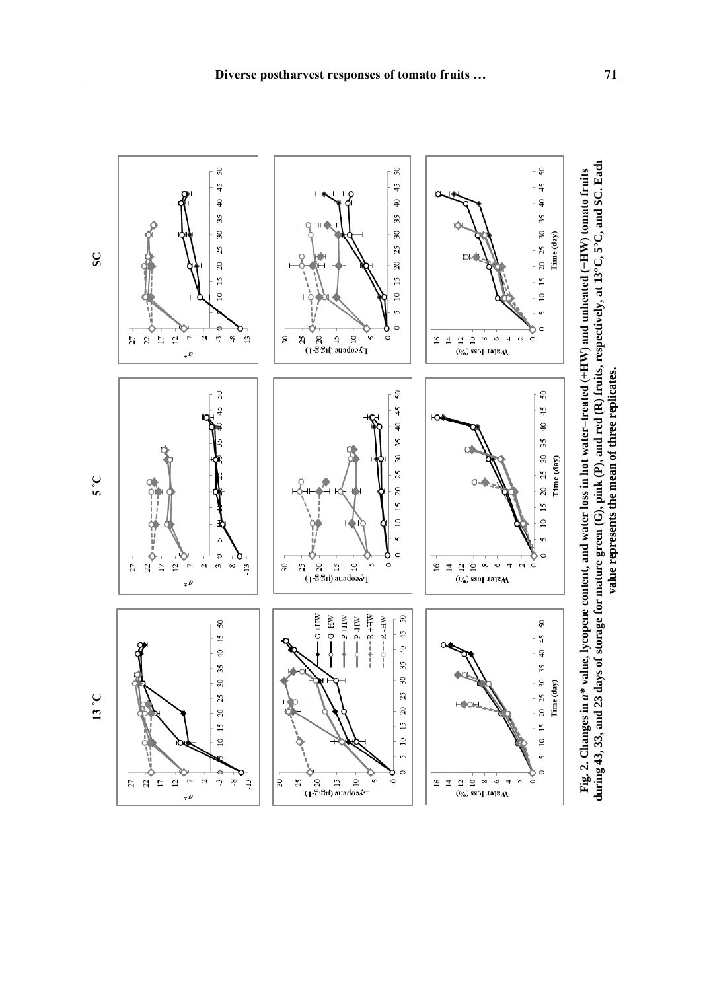

 $15$ 

 $\overline{10}$ 

 $\mathbf{v}$ 

 $\circ$ 

 $50\,$ 

 $45\,$ 

 $\downarrow$ 

35

 $\overline{30}$ 

 $25$ 

 $20\,$ 

 $15$ 

 $\Xi$  $\mathbf{v}$ 

 $\circ$ 

Ō

.<br>م  $\circ$ 

 $-$  +  $-$  R + HW

 $- P$ -HW

 $--\circ--R$  -HW

.<br>1. 영 전 등<br>1. 영 전 등

 $-P+HW$ 

 $-6-HW$ 

 $25$  $\sqrt{3}$ 

 $C+HW$ 

 $\approx$ 

 $\overline{15}$  $\approx$ 'n  $\circ$ 

 $T$ *k*cobene (ra $\overline{5}$ · $\overline{5}$ ·r)

 $30$  $\mathbb{Z}$ 



 $\frac{15}{2}$  $\overline{10}$ 

n

 $\circ$ 

 $\sqrt{2}$ 

 $45$ 

 $\ominus$ 

35

 $15\ 20\ 25\ 30$ 

 $\overline{10}$ 

n

 $\circ$ 

 $\Rightarrow$ 

 $\mathbb{N}$ ċ Time (day)

 $\boldsymbol{\alpha}$  $\check{\circ}$ 

 $(\frac{6}{6})$  ssol тэри $\bf{M}$ 

 $(\frac{6}{6})$  sso] лэр $M$ 

**5 ˚C**

 $20 - 20$ 

 $\frac{27}{22}$ 

 $\overline{12}$  $\overline{a}$  $\mathbf{\Omega}$  $\omega$ οo.  $\ddot{1}$ 

 $\sqrt{p}$ 

€

 $\sigma$  $\sim$ 

 $\sqrt{p}$ 

 $m$   $\infty$ 

 $\sqrt{2}$ 

 $45$ 

 $\oplus$ 

35

 $30\,$ 

 $25$ 

 $20\,$  $\overline{15}$ 

 $\overline{a}$ 

 $\frac{13}{2}$ 

**SC**

**13 ˚C**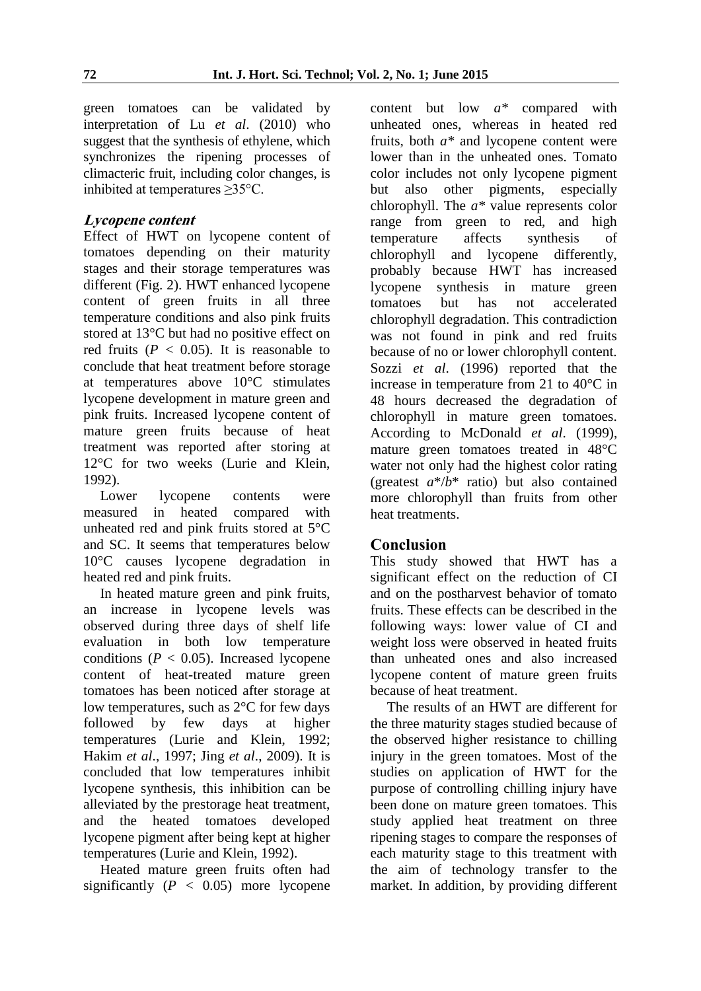green tomatoes can be validated by interpretation of Lu *et al*. (2010) who suggest that the synthesis of ethylene, which synchronizes the ripening processes of climacteric fruit, including color changes, is inhibited at temperatures ≥35°C.

## **Lycopene content**

Effect of HWT on lycopene content of tomatoes depending on their maturity stages and their storage temperatures was different (Fig. 2). HWT enhanced lycopene content of green fruits in all three temperature conditions and also pink fruits stored at 13°C but had no positive effect on red fruits  $(P < 0.05)$ . It is reasonable to conclude that heat treatment before storage at temperatures above 10°C stimulates lycopene development in mature green and pink fruits. Increased lycopene content of mature green fruits because of heat treatment was reported after storing at 12°C for two weeks (Lurie and Klein, 1992).

Lower lycopene contents were measured in heated compared with unheated red and pink fruits stored at 5°C and SC. It seems that temperatures below 10°C causes lycopene degradation in heated red and pink fruits.

In heated mature green and pink fruits, an increase in lycopene levels was observed during three days of shelf life evaluation in both low temperature conditions ( $P < 0.05$ ). Increased lycopene content of heat-treated mature green tomatoes has been noticed after storage at low temperatures, such as 2°C for few days followed by few days at higher temperatures (Lurie and Klein, 1992; Hakim *et al*., 1997; Jing *et al*., 2009). It is concluded that low temperatures inhibit lycopene synthesis, this inhibition can be alleviated by the prestorage heat treatment, and the heated tomatoes developed lycopene pigment after being kept at higher temperatures (Lurie and Klein, 1992).

Heated mature green fruits often had significantly  $(P < 0.05)$  more lycopene

content but low *a\** compared with unheated ones, whereas in heated red fruits, both *a\** and lycopene content were lower than in the unheated ones. Tomato color includes not only lycopene pigment but also other pigments, especially chlorophyll. The *a\** value represents color range from green to red, and high temperature affects synthesis of chlorophyll and lycopene differently, probably because HWT has increased lycopene synthesis in mature green tomatoes but has not accelerated chlorophyll degradation. This contradiction was not found in pink and red fruits because of no or lower chlorophyll content. Sozzi *et al*. (1996) reported that the increase in temperature from 21 to 40°C in 48 hours decreased the degradation of chlorophyll in mature green tomatoes. According to McDonald *et al*. (1999), mature green tomatoes treated in 48°C water not only had the highest color rating (greatest *a*\*/*b*\* ratio) but also contained more chlorophyll than fruits from other heat treatments.

# **Conclusion**

This study showed that HWT has a significant effect on the reduction of CI and on the postharvest behavior of tomato fruits. These effects can be described in the following ways: lower value of CI and weight loss were observed in heated fruits than unheated ones and also increased lycopene content of mature green fruits because of heat treatment.

The results of an HWT are different for the three maturity stages studied because of the observed higher resistance to chilling injury in the green tomatoes. Most of the studies on application of HWT for the purpose of controlling chilling injury have been done on mature green tomatoes. This study applied heat treatment on three ripening stages to compare the responses of each maturity stage to this treatment with the aim of technology transfer to the market. In addition, by providing different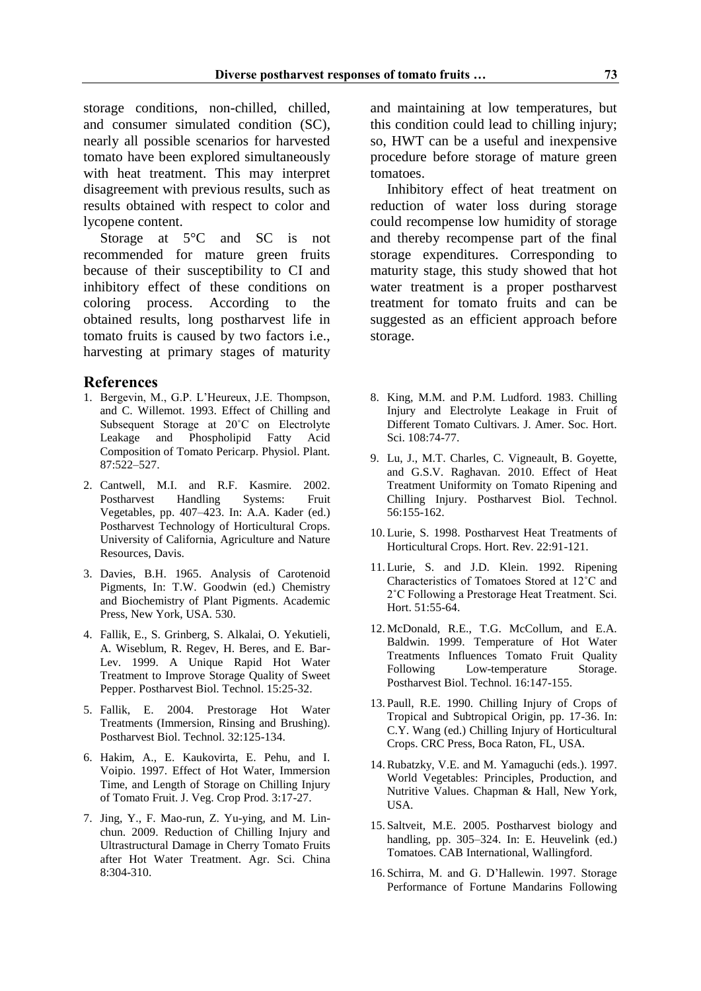storage conditions, non-chilled, chilled, and consumer simulated condition (SC), nearly all possible scenarios for harvested tomato have been explored simultaneously with heat treatment. This may interpret disagreement with previous results, such as results obtained with respect to color and lycopene content.

Storage at 5°C and SC is not recommended for mature green fruits because of their susceptibility to CI and inhibitory effect of these conditions on coloring process. According to the obtained results, long postharvest life in tomato fruits is caused by two factors i.e., harvesting at primary stages of maturity

#### **References**

- 1. Bergevin, M., G.P. L"Heureux, J.E. Thompson, and C. Willemot. 1993. Effect of Chilling and Subsequent Storage at 20˚C on Electrolyte Leakage and Phospholipid Fatty Acid Composition of Tomato Pericarp. Physiol. Plant. 87:522–527.
- 2. Cantwell, M.I. and R.F. Kasmire. 2002. Postharvest Handling Systems: Fruit Vegetables, pp. 407–423. In: A.A. Kader (ed.) Postharvest Technology of Horticultural Crops. University of California, Agriculture and Nature Resources, Davis.
- 3. Davies, B.H. 1965. Analysis of Carotenoid Pigments, In: T.W. Goodwin (ed.) Chemistry and Biochemistry of Plant Pigments. Academic Press, New York, USA. 530.
- 4. Fallik, E., S. Grinberg, S. Alkalai, O. Yekutieli, A. Wiseblum, R. Regev, H. Beres, and E. Bar-Lev. 1999. A Unique Rapid Hot Water Treatment to Improve Storage Quality of Sweet Pepper. Postharvest Biol. Technol. 15:25-32.
- 5. Fallik, E. 2004. Prestorage Hot Water Treatments (Immersion, Rinsing and Brushing). Postharvest Biol. Technol. 32:125-134.
- 6. Hakim, A., E. Kaukovirta, E. Pehu, and I. Voipio. 1997. Effect of Hot Water, Immersion Time, and Length of Storage on Chilling Injury of Tomato Fruit. J. Veg. Crop Prod. 3:17-27.
- 7. Jing, Y., F. Mao-run, Z. Yu-ying, and M. Linchun. 2009. Reduction of Chilling Injury and Ultrastructural Damage in Cherry Tomato Fruits after Hot Water Treatment. Agr. Sci. China 8:304-310.

and maintaining at low temperatures, but this condition could lead to chilling injury; so, HWT can be a useful and inexpensive procedure before storage of mature green tomatoes.

Inhibitory effect of heat treatment on reduction of water loss during storage could recompense low humidity of storage and thereby recompense part of the final storage expenditures. Corresponding to maturity stage, this study showed that hot water treatment is a proper postharvest treatment for tomato fruits and can be suggested as an efficient approach before storage.

- 8. King, M.M. and P.M. Ludford. 1983. Chilling Injury and Electrolyte Leakage in Fruit of Different Tomato Cultivars. J. Amer. Soc. Hort. Sci. 108:74-77.
- 9. Lu, J., M.T. Charles, C. Vigneault, B. Goyette, and G.S.V. Raghavan. 2010. Effect of Heat Treatment Uniformity on Tomato Ripening and Chilling Injury. Postharvest Biol. Technol. 56:155-162.
- 10. Lurie, S. 1998. Postharvest Heat Treatments of Horticultural Crops. Hort. Rev. 22:91-121.
- 11. Lurie, S. and J.D. Klein. 1992. Ripening Characteristics of Tomatoes Stored at 12˚C and 2˚C Following a Prestorage Heat Treatment. Sci. Hort. 51:55-64.
- 12. McDonald, R.E., T.G. McCollum, and E.A. Baldwin. 1999. Temperature of Hot Water Treatments Influences Tomato Fruit Quality Following Low-temperature Storage. Postharvest Biol. Technol. 16:147-155.
- 13. Paull, R.E. 1990. Chilling Injury of Crops of Tropical and Subtropical Origin, pp. 17-36. In: C.Y. Wang (ed.) Chilling Injury of Horticultural Crops. CRC Press, Boca Raton, FL, USA.
- 14.Rubatzky, V.E. and M. Yamaguchi (eds.). 1997. World Vegetables: Principles, Production, and Nutritive Values. Chapman & Hall, New York, USA.
- 15. Saltveit, M.E. 2005. Postharvest biology and handling, pp. 305–324. In: E. Heuvelink (ed.) Tomatoes. CAB International, Wallingford.
- 16. Schirra, M. and G. D"Hallewin. 1997. Storage Performance of Fortune Mandarins Following